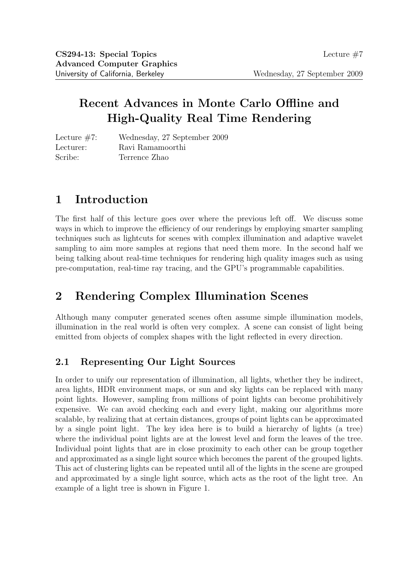# **Recent Advances in Monte Carlo Offline and High-Quality Real Time Rendering**

Lecture #7: Wednesday, 27 September 2009 Lecturer: Ravi Ramamoorthi Scribe: Terrence Zhao

# **1 Introduction**

The first half of this lecture goes over where the previous left off. We discuss some ways in which to improve the efficiency of our renderings by employing smarter sampling techniques such as lightcuts for scenes with complex illumination and adaptive wavelet sampling to aim more samples at regions that need them more. In the second half we being talking about real-time techniques for rendering high quality images such as using pre-computation, real-time ray tracing, and the GPU's programmable capabilities.

# **2 Rendering Complex Illumination Scenes**

Although many computer generated scenes often assume simple illumination models, illumination in the real world is often very complex. A scene can consist of light being emitted from objects of complex shapes with the light reflected in every direction.

## **2.1 Representing Our Light Sources**

In order to unify our representation of illumination, all lights, whether they be indirect, area lights, HDR environment maps, or sun and sky lights can be replaced with many point lights. However, sampling from millions of point lights can become prohibitively expensive. We can avoid checking each and every light, making our algorithms more scalable, by realizing that at certain distances, groups of point lights can be approximated by a single point light. The key idea here is to build a hierarchy of lights (a tree) where the individual point lights are at the lowest level and form the leaves of the tree. Individual point lights that are in close proximity to each other can be group together and approximated as a single light source which becomes the parent of the grouped lights. This act of clustering lights can be repeated until all of the lights in the scene are grouped and approximated by a single light source, which acts as the root of the light tree. An example of a light tree is shown in Figure 1.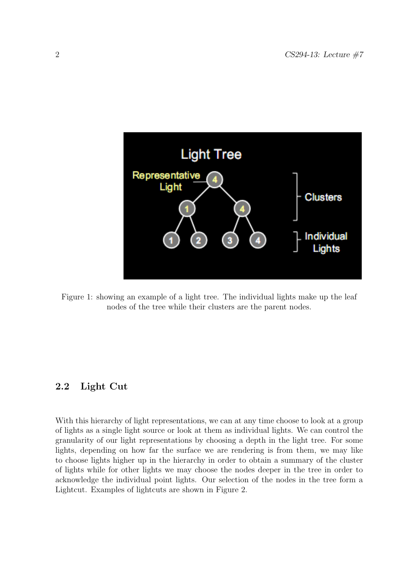

Figure 1: showing an example of a light tree. The individual lights make up the leaf nodes of the tree while their clusters are the parent nodes.

#### **2.2 Light Cut**

With this hierarchy of light representations, we can at any time choose to look at a group of lights as a single light source or look at them as individual lights. We can control the granularity of our light representations by choosing a depth in the light tree. For some lights, depending on how far the surface we are rendering is from them, we may like to choose lights higher up in the hierarchy in order to obtain a summary of the cluster of lights while for other lights we may choose the nodes deeper in the tree in order to acknowledge the individual point lights. Our selection of the nodes in the tree form a Lightcut. Examples of lightcuts are shown in Figure 2.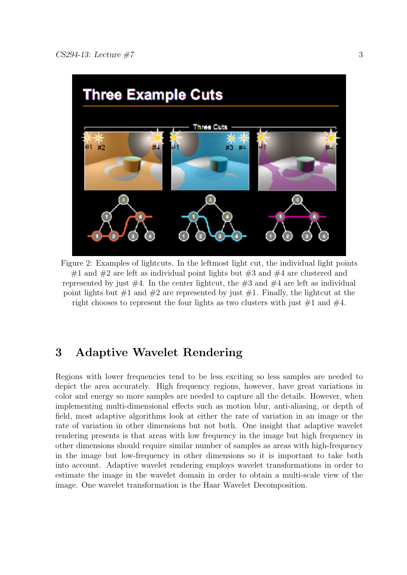

Figure 2: Examples of lightcuts. In the leftmost light cut, the individual light points #1 and #2 are left as individual point lights but #3 and #4 are clustered and represented by just  $#4$ . In the center lightcut, the  $#3$  and  $#4$  are left as individual point lights but  $\#1$  and  $\#2$  are represented by just  $\#1$ . Finally, the lightcut at the right chooses to represent the four lights as two clusters with just  $\#1$  and  $\#4$ .

## **3 Adaptive Wavelet Rendering**

Regions with lower frequencies tend to be less exciting so less samples are needed to depict the area accurately. High frequency regions, however, have great variations in color and energy so more samples are needed to capture all the details. However, when implementing multi-dimensional effects such as motion blur, anti-aliasing, or depth of field, most adaptive algorithms look at either the rate of variation in an image or the rate of variation in other dimensions but not both. One insight that adaptive wavelet rendering presents is that areas with low frequency in the image but high frequency in other dimensions should require similar number of samples as areas with high-frequency in the image but low-frequency in other dimensions so it is important to take both into account. Adaptive wavelet rendering employs wavelet transformations in order to estimate the image in the wavelet domain in order to obtain a multi-scale view of the image. One wavelet transformation is the Haar Wavelet Decomposition.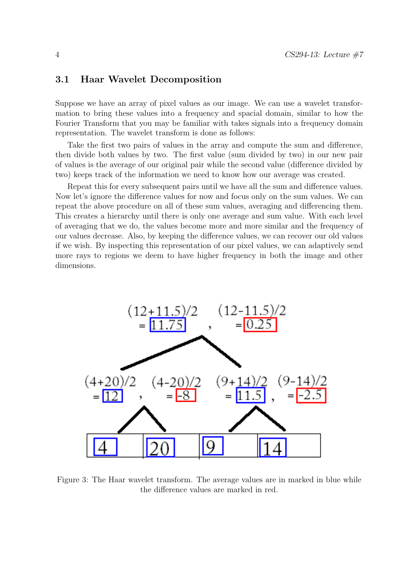#### **3.1 Haar Wavelet Decomposition**

Suppose we have an array of pixel values as our image. We can use a wavelet transformation to bring these values into a frequency and spacial domain, similar to how the Fourier Transform that you may be familiar with takes signals into a frequency domain representation. The wavelet transform is done as follows:

Take the first two pairs of values in the array and compute the sum and difference, then divide both values by two. The first value (sum divided by two) in our new pair of values is the average of our original pair while the second value (difference divided by two) keeps track of the information we need to know how our average was created.

Repeat this for every subsequent pairs until we have all the sum and difference values. Now let's ignore the difference values for now and focus only on the sum values. We can repeat the above procedure on all of these sum values, averaging and differencing them. This creates a hierarchy until there is only one average and sum value. With each level of averaging that we do, the values become more and more similar and the frequency of our values decrease. Also, by keeping the difference values, we can recover our old values if we wish. By inspecting this representation of our pixel values, we can adaptively send more rays to regions we deem to have higher frequency in both the image and other dimensions.



Figure 3: The Haar wavelet transform. The average values are in marked in blue while the difference values are marked in red.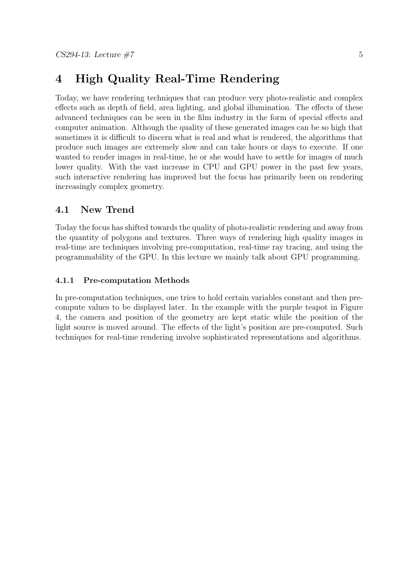## **4 High Quality Real-Time Rendering**

Today, we have rendering techniques that can produce very photo-realistic and complex effects such as depth of field, area lighting, and global illumination. The effects of these advanced techniques can be seen in the film industry in the form of special effects and computer animation. Although the quality of these generated images can be so high that sometimes it is difficult to discern what is real and what is rendered, the algorithms that produce such images are extremely slow and can take hours or days to execute. If one wanted to render images in real-time, he or she would have to settle for images of much lower quality. With the vast increase in CPU and GPU power in the past few years, such interactive rendering has improved but the focus has primarily been on rendering increasingly complex geometry.

### **4.1 New Trend**

Today the focus has shifted towards the quality of photo-realistic rendering and away from the quantity of polygons and textures. Three ways of rendering high quality images in real-time are techniques involving pre-computation, real-time ray tracing, and using the programmability of the GPU. In this lecture we mainly talk about GPU programming.

#### **4.1.1 Pre-computation Methods**

In pre-computation techniques, one tries to hold certain variables constant and then precompute values to be displayed later. In the example with the purple teapot in Figure 4, the camera and position of the geometry are kept static while the position of the light source is moved around. The effects of the light's position are pre-computed. Such techniques for real-time rendering involve sophisticated representations and algorithms.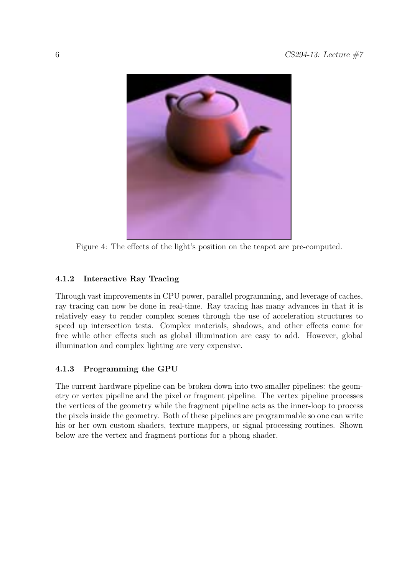

Figure 4: The effects of the light's position on the teapot are pre-computed.

### **4.1.2 Interactive Ray Tracing**

Through vast improvements in CPU power, parallel programming, and leverage of caches, ray tracing can now be done in real-time. Ray tracing has many advances in that it is relatively easy to render complex scenes through the use of acceleration structures to speed up intersection tests. Complex materials, shadows, and other effects come for free while other effects such as global illumination are easy to add. However, global illumination and complex lighting are very expensive.

### **4.1.3 Programming the GPU**

The current hardware pipeline can be broken down into two smaller pipelines: the geometry or vertex pipeline and the pixel or fragment pipeline. The vertex pipeline processes the vertices of the geometry while the fragment pipeline acts as the inner-loop to process the pixels inside the geometry. Both of these pipelines are programmable so one can write his or her own custom shaders, texture mappers, or signal processing routines. Shown below are the vertex and fragment portions for a phong shader.